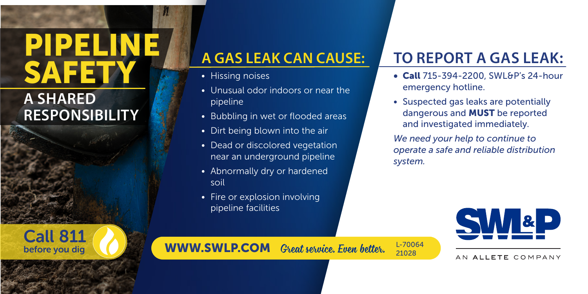# PIPELINE **SAFETY A GAS LEAK CAN CAUSE:**

#### **A SHARED RESPONSIBILITY**

Call 811 before you dig

- Hissing noises
- Unusual odor indoors or near the pipeline
- Bubbling in wet or flooded areas
- Dirt being blown into the air
- Dead or discolored vegetation near an underground pipeline
- Abnormally dry or hardened soil
- Fire or explosion involving pipeline facilities

## **TO REPORT A GAS LEAK:**

- Call 715-394-2200, SWL&P's 24-hour emergency hotline.
- Suspected gas leaks are potentially dangerous and MUST be reported and investigated immediately.

*We need your help to continue to operate a safe and reliable distribution system.*

AN ALLETE COMPANY

WWW.SWLP.COM *Great service. Even better.* L-70064

21028